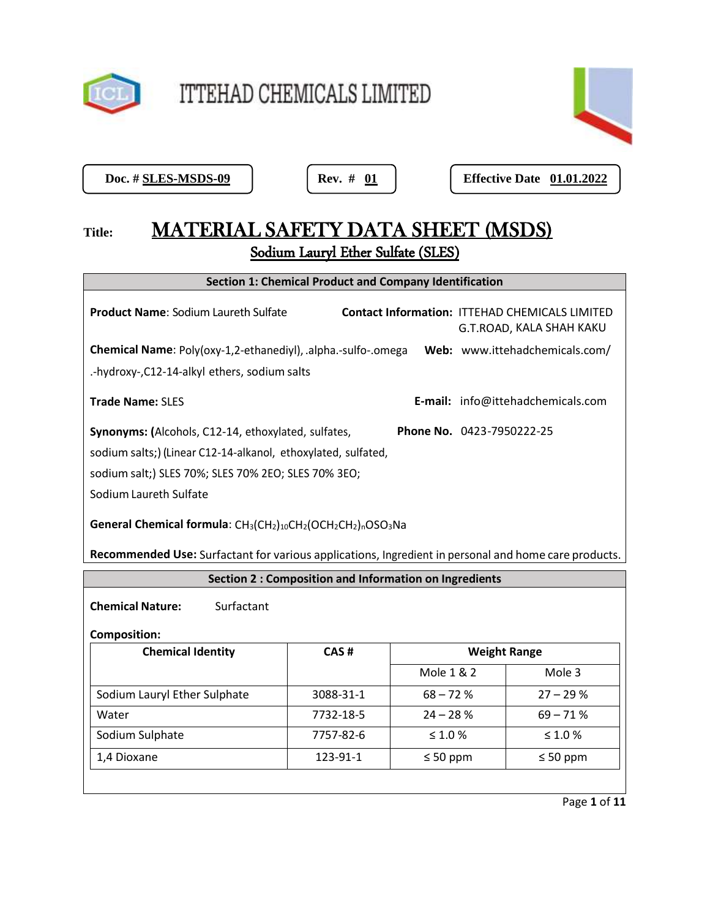

ITTEHAD CHEMICALS LIMITED



Doc. # **SLES-MSDS-09** 

**Doc. # 01 Effective Date 01.01.2022** 

# Title: MATERIAL SAFETY DATA SHEET (MSDS) Sodium Lauryl Ether Sulfate (SLES)

| <b>Section 1: Chemical Product and Company Identification</b>                                        |  |                                                                                   |  |
|------------------------------------------------------------------------------------------------------|--|-----------------------------------------------------------------------------------|--|
| <b>Product Name: Sodium Laureth Sulfate</b>                                                          |  | <b>Contact Information: ITTEHAD CHEMICALS LIMITED</b><br>G.T.ROAD, KALA SHAH KAKU |  |
| Chemical Name: Poly(oxy-1,2-ethanediyl), .alpha.-sulfo-.omega                                        |  | Web: www.ittehadchemicals.com/                                                    |  |
| .-hydroxy-, C12-14-alkyl ethers, sodium salts                                                        |  |                                                                                   |  |
| <b>Trade Name: SLES</b>                                                                              |  | E-mail: info@ittehadchemicals.com                                                 |  |
| <b>Synonyms:</b> (Alcohols, C12-14, ethoxylated, sulfates,                                           |  | <b>Phone No.</b> 0423-7950222-25                                                  |  |
| sodium salts;) (Linear C12-14-alkanol, ethoxylated, sulfated,                                        |  |                                                                                   |  |
| sodium salt;) SLES 70%; SLES 70% 2EO; SLES 70% 3EO;                                                  |  |                                                                                   |  |
| Sodium Laureth Sulfate                                                                               |  |                                                                                   |  |
| General Chemical formula: $CH_3(CH_2)_{10}CH_2(OCH_2CH_2)_nOSO_3Na$                                  |  |                                                                                   |  |
| Recommended Use: Surfactant for various applications, Ingredient in personal and home care products. |  |                                                                                   |  |

**Section 2 : Composition and Information on Ingredients**

**Chemical Nature:** Surfactant

### **Composition:**

| CAS#      | <b>Weight Range</b> |               |
|-----------|---------------------|---------------|
|           | Mole 1 & 2          | Mole 3        |
| 3088-31-1 | $68 - 72%$          | $27 - 29%$    |
| 7732-18-5 | $24 - 28%$          | $69 - 71%$    |
| 7757-82-6 | $\leq 1.0\%$        | $\leq 1.0 \%$ |
| 123-91-1  | $\leq 50$ ppm       | $\leq 50$ ppm |
|           |                     |               |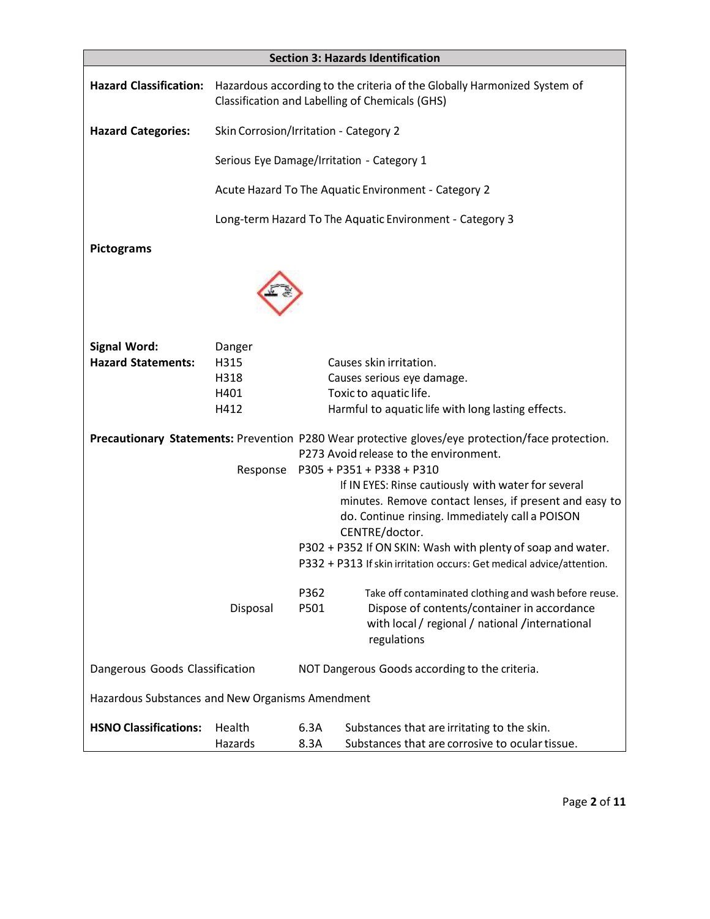| <b>Section 3: Hazards Identification</b>         |                                                                                                                             |              |                                                                                                                                                                                                                                                                                                                           |
|--------------------------------------------------|-----------------------------------------------------------------------------------------------------------------------------|--------------|---------------------------------------------------------------------------------------------------------------------------------------------------------------------------------------------------------------------------------------------------------------------------------------------------------------------------|
| <b>Hazard Classification:</b>                    | Hazardous according to the criteria of the Globally Harmonized System of<br>Classification and Labelling of Chemicals (GHS) |              |                                                                                                                                                                                                                                                                                                                           |
| <b>Hazard Categories:</b>                        | Skin Corrosion/Irritation - Category 2                                                                                      |              |                                                                                                                                                                                                                                                                                                                           |
|                                                  |                                                                                                                             |              | Serious Eye Damage/Irritation - Category 1                                                                                                                                                                                                                                                                                |
|                                                  |                                                                                                                             |              | Acute Hazard To The Aquatic Environment - Category 2                                                                                                                                                                                                                                                                      |
|                                                  |                                                                                                                             |              | Long-term Hazard To The Aquatic Environment - Category 3                                                                                                                                                                                                                                                                  |
| <b>Pictograms</b>                                |                                                                                                                             |              |                                                                                                                                                                                                                                                                                                                           |
|                                                  |                                                                                                                             |              |                                                                                                                                                                                                                                                                                                                           |
| <b>Signal Word:</b>                              | Danger                                                                                                                      |              |                                                                                                                                                                                                                                                                                                                           |
| <b>Hazard Statements:</b>                        | H315                                                                                                                        |              | Causes skin irritation.                                                                                                                                                                                                                                                                                                   |
|                                                  | H318                                                                                                                        |              | Causes serious eye damage.                                                                                                                                                                                                                                                                                                |
|                                                  | H401                                                                                                                        |              | Toxic to aquatic life.                                                                                                                                                                                                                                                                                                    |
|                                                  | H412                                                                                                                        |              | Harmful to aquatic life with long lasting effects.                                                                                                                                                                                                                                                                        |
|                                                  |                                                                                                                             |              | Precautionary Statements: Prevention P280 Wear protective gloves/eye protection/face protection.<br>P273 Avoid release to the environment.                                                                                                                                                                                |
|                                                  |                                                                                                                             |              | If IN EYES: Rinse cautiously with water for several<br>minutes. Remove contact lenses, if present and easy to<br>do. Continue rinsing. Immediately call a POISON<br>CENTRE/doctor.<br>P302 + P352 If ON SKIN: Wash with plenty of soap and water.<br>P332 + P313 If skin irritation occurs: Get medical advice/attention. |
|                                                  | Disposal                                                                                                                    | P362<br>P501 | Take off contaminated clothing and wash before reuse.<br>Dispose of contents/container in accordance<br>with local / regional / national /international<br>regulations                                                                                                                                                    |
| Dangerous Goods Classification                   |                                                                                                                             |              | NOT Dangerous Goods according to the criteria.                                                                                                                                                                                                                                                                            |
| Hazardous Substances and New Organisms Amendment |                                                                                                                             |              |                                                                                                                                                                                                                                                                                                                           |
| <b>HSNO Classifications:</b>                     | Health<br>Hazards                                                                                                           | 6.3A<br>8.3A | Substances that are irritating to the skin.<br>Substances that are corrosive to ocular tissue.                                                                                                                                                                                                                            |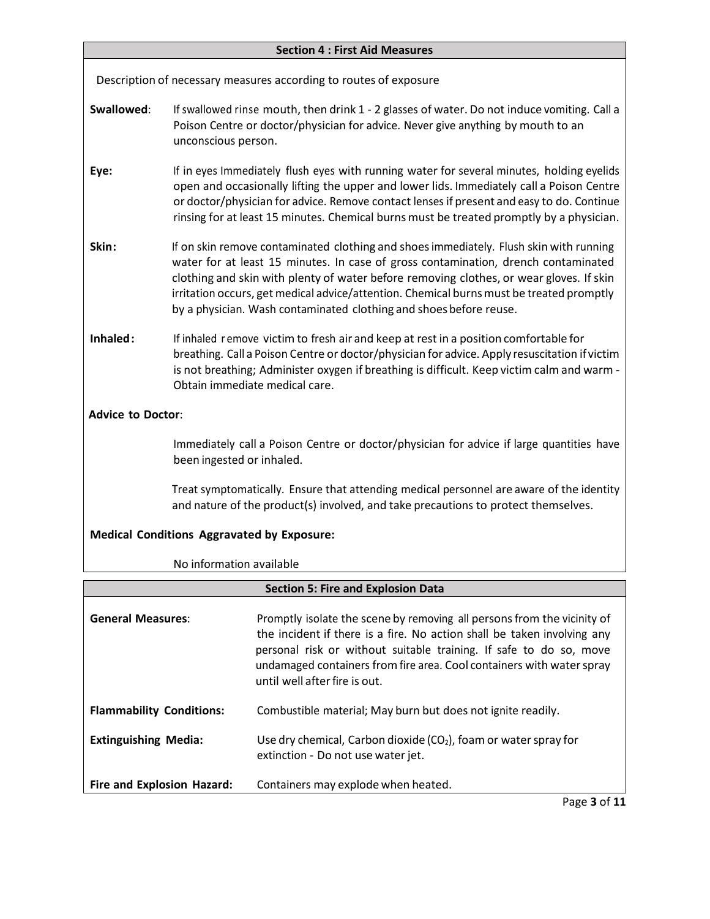### **Section 4 : First Aid Measures**

Description of necessary measures according to routes of exposure

- **Swallowed:** If swallowed rinse mouth, then drink 1 2 glasses of water. Do not induce vomiting. Call a Poison Centre or doctor/physician for advice. Never give anything by mouth to an unconscious person.
- **Eye:** If in eyes Immediately flush eyes with running water for several minutes, holding eyelids open and occasionally lifting the upper and lower lids. Immediately call a Poison Centre or doctor/physician for advice. Remove contact lenses if present and easy to do. Continue rinsing for at least 15 minutes. Chemical burns must be treated promptly by a physician.
- **Skin:** If on skin remove contaminated clothing and shoes immediately. Flush skin with running water for at least 15 minutes. In case of gross contamination, drench contaminated clothing and skin with plenty of water before removing clothes, or wear gloves. If skin irritation occurs, get medical advice/attention. Chemical burns must be treated promptly by a physician. Wash contaminated clothing and shoes before reuse.
- **Inhaled:** If inhaled r emove victim to fresh air and keep at rest in a position comfortable for breathing. Call a Poison Centre or doctor/physician for advice. Apply resuscitation if victim is not breathing; Administer oxygen if breathing is difficult. Keep victim calm and warm - Obtain immediate medical care.

## **Advice to Doctor**:

Immediately call a Poison Centre or doctor/physician for advice if large quantities have been ingested or inhaled.

Treat symptomatically. Ensure that attending medical personnel are aware of the identity and nature of the product(s) involved, and take precautions to protect themselves.

## **Medical Conditions Aggravated by Exposure:**

No information available

| <b>Section 5: Fire and Explosion Data</b> |                                                                                                                                                                                                                                                                                                                                    |  |
|-------------------------------------------|------------------------------------------------------------------------------------------------------------------------------------------------------------------------------------------------------------------------------------------------------------------------------------------------------------------------------------|--|
| <b>General Measures:</b>                  | Promptly isolate the scene by removing all persons from the vicinity of<br>the incident if there is a fire. No action shall be taken involving any<br>personal risk or without suitable training. If safe to do so, move<br>undamaged containers from fire area. Cool containers with water spray<br>until well after fire is out. |  |
| <b>Flammability Conditions:</b>           | Combustible material; May burn but does not ignite readily.                                                                                                                                                                                                                                                                        |  |
| <b>Extinguishing Media:</b>               | Use dry chemical, Carbon dioxide $(CO2)$ , foam or water spray for<br>extinction - Do not use water jet.                                                                                                                                                                                                                           |  |
| Fire and Explosion Hazard:                | Containers may explode when heated.                                                                                                                                                                                                                                                                                                |  |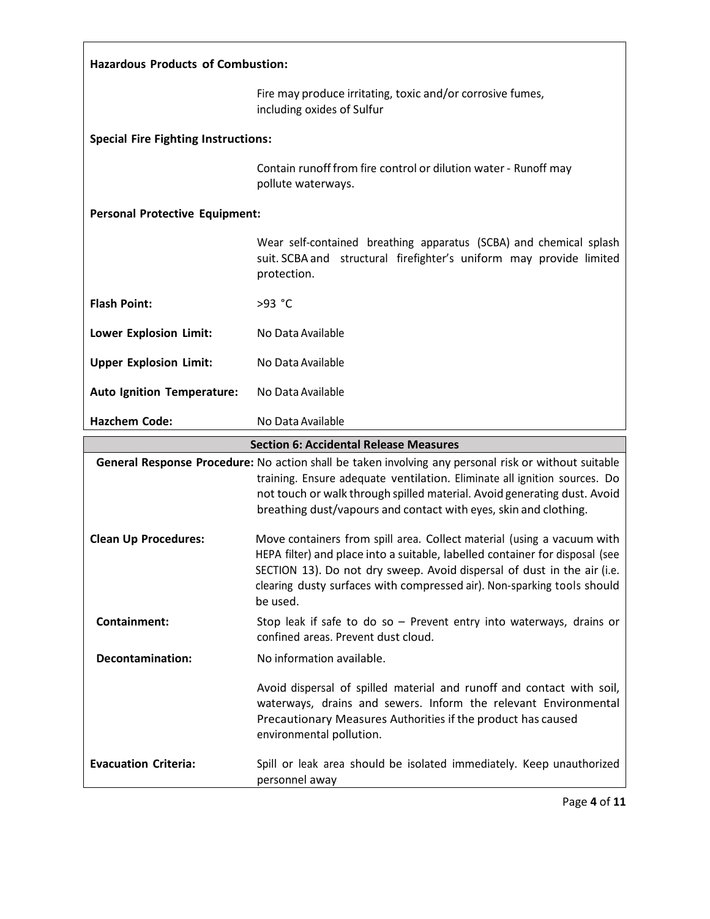| <b>Hazardous Products of Combustion:</b>                                                             |                                                                                                                                                          |  |
|------------------------------------------------------------------------------------------------------|----------------------------------------------------------------------------------------------------------------------------------------------------------|--|
|                                                                                                      | Fire may produce irritating, toxic and/or corrosive fumes,<br>including oxides of Sulfur                                                                 |  |
| <b>Special Fire Fighting Instructions:</b>                                                           |                                                                                                                                                          |  |
|                                                                                                      | Contain runoff from fire control or dilution water - Runoff may<br>pollute waterways.                                                                    |  |
| <b>Personal Protective Equipment:</b>                                                                |                                                                                                                                                          |  |
|                                                                                                      | Wear self-contained breathing apparatus (SCBA) and chemical splash<br>suit. SCBA and structural firefighter's uniform may provide limited<br>protection. |  |
| <b>Flash Point:</b>                                                                                  | >93 °C                                                                                                                                                   |  |
| Lower Explosion Limit:                                                                               | No Data Available                                                                                                                                        |  |
| <b>Upper Explosion Limit:</b>                                                                        | No Data Available                                                                                                                                        |  |
| <b>Auto Ignition Temperature:</b>                                                                    | No Data Available                                                                                                                                        |  |
| <b>Hazchem Code:</b>                                                                                 | No Data Available                                                                                                                                        |  |
| <b>Section 6: Accidental Release Measures</b>                                                        |                                                                                                                                                          |  |
| General Response Procedure: No action shall be taken involving any personal risk or without suitable |                                                                                                                                                          |  |

|                             | General Response Procedure: No action shall be taken involving any personal risk or without suitable<br>training. Ensure adequate ventilation. Eliminate all ignition sources. Do<br>not touch or walk through spilled material. Avoid generating dust. Avoid<br>breathing dust/vapours and contact with eyes, skin and clothing. |
|-----------------------------|-----------------------------------------------------------------------------------------------------------------------------------------------------------------------------------------------------------------------------------------------------------------------------------------------------------------------------------|
| <b>Clean Up Procedures:</b> | Move containers from spill area. Collect material (using a vacuum with<br>HEPA filter) and place into a suitable, labelled container for disposal (see<br>SECTION 13). Do not dry sweep. Avoid dispersal of dust in the air (i.e.<br>clearing dusty surfaces with compressed air). Non-sparking tools should<br>be used.          |
| Containment:                | Stop leak if safe to do so $-$ Prevent entry into waterways, drains or<br>confined areas. Prevent dust cloud.                                                                                                                                                                                                                     |
| Decontamination:            | No information available.                                                                                                                                                                                                                                                                                                         |
|                             | Avoid dispersal of spilled material and runoff and contact with soil,<br>waterways, drains and sewers. Inform the relevant Environmental<br>Precautionary Measures Authorities if the product has caused<br>environmental pollution.                                                                                              |
| <b>Evacuation Criteria:</b> | Spill or leak area should be isolated immediately. Keep unauthorized<br>personnel away                                                                                                                                                                                                                                            |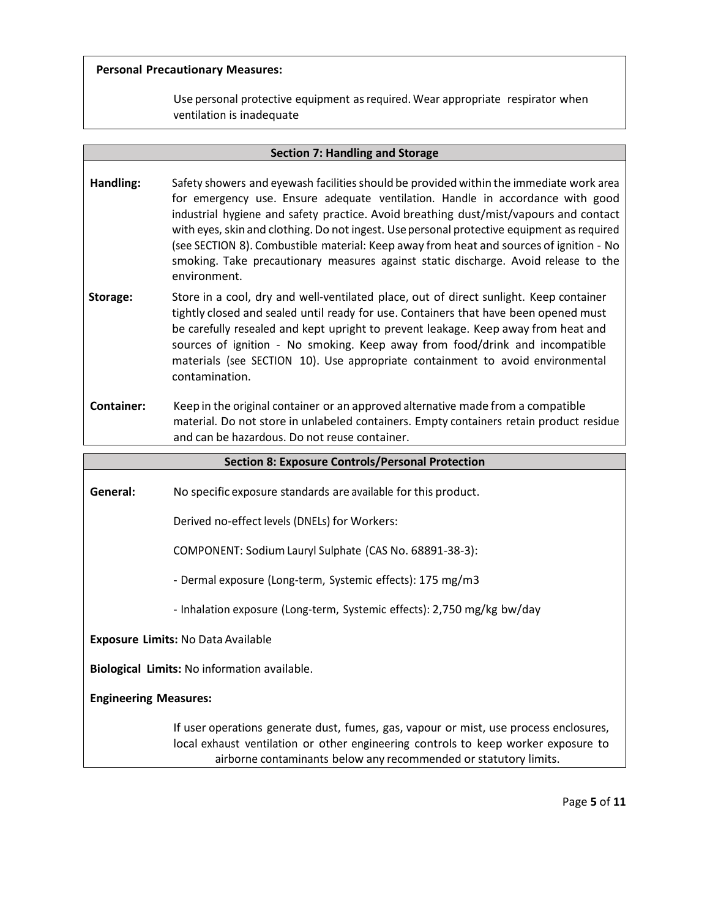### **Personal Precautionary Measures:**

Use personal protective equipment as required. Wear appropriate respirator when ventilation is inadequate

| <b>Section 7: Handling and Storage</b>                  |                                                                                                                                                                                                                                                                                                                                                                                                                                                                                                                                                                    |  |
|---------------------------------------------------------|--------------------------------------------------------------------------------------------------------------------------------------------------------------------------------------------------------------------------------------------------------------------------------------------------------------------------------------------------------------------------------------------------------------------------------------------------------------------------------------------------------------------------------------------------------------------|--|
| Handling:                                               | Safety showers and eyewash facilities should be provided within the immediate work area<br>for emergency use. Ensure adequate ventilation. Handle in accordance with good<br>industrial hygiene and safety practice. Avoid breathing dust/mist/vapours and contact<br>with eyes, skin and clothing. Do not ingest. Use personal protective equipment as required<br>(see SECTION 8). Combustible material: Keep away from heat and sources of ignition - No<br>smoking. Take precautionary measures against static discharge. Avoid release to the<br>environment. |  |
| Storage:                                                | Store in a cool, dry and well-ventilated place, out of direct sunlight. Keep container<br>tightly closed and sealed until ready for use. Containers that have been opened must<br>be carefully resealed and kept upright to prevent leakage. Keep away from heat and<br>sources of ignition - No smoking. Keep away from food/drink and incompatible<br>materials (see SECTION 10). Use appropriate containment to avoid environmental<br>contamination.                                                                                                           |  |
| Container:                                              | Keep in the original container or an approved alternative made from a compatible<br>material. Do not store in unlabeled containers. Empty containers retain product residue<br>and can be hazardous. Do not reuse container.                                                                                                                                                                                                                                                                                                                                       |  |
| <b>Section 8: Exposure Controls/Personal Protection</b> |                                                                                                                                                                                                                                                                                                                                                                                                                                                                                                                                                                    |  |

**General:** No specific exposure standards are available for this product.

Derived no-effect levels (DNELs) for Workers:

COMPONENT: SodiumLauryl Sulphate (CAS No. 68891-38-3):

- Dermal exposure (Long-term, Systemic effects): 175 mg/m3

- Inhalation exposure (Long-term, Systemic effects): 2,750 mg/kg bw/day

**Exposure Limits:** No Data Available

**Biological Limits:** No information available.

**Engineering Measures:**

If user operations generate dust, fumes, gas, vapour or mist, use process enclosures, local exhaust ventilation or other engineering controls to keep worker exposure to airborne contaminants below any recommended or statutory limits.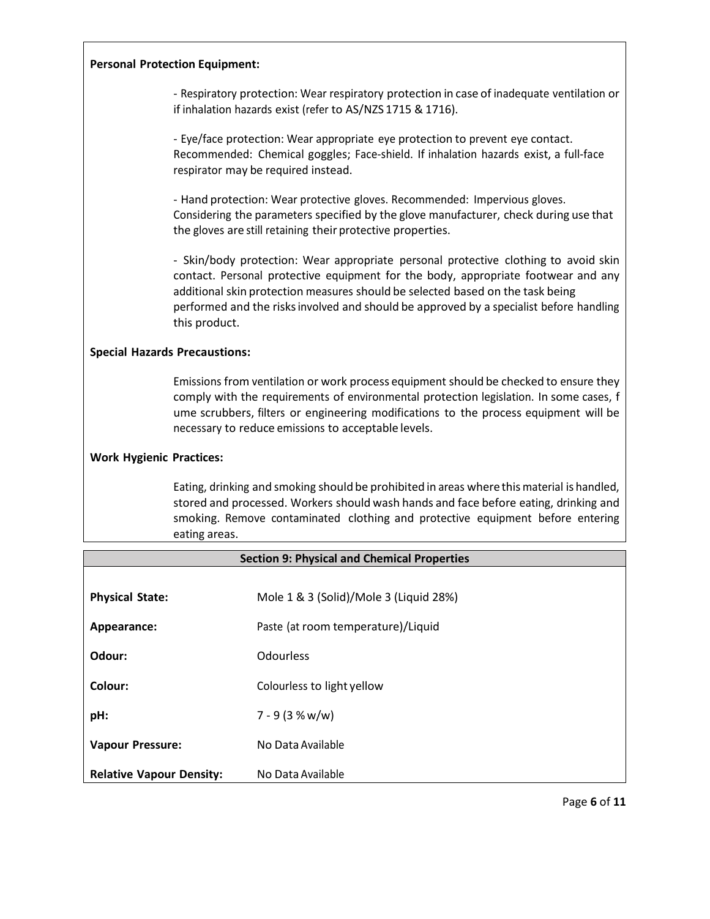| <b>Personal Protection Equipment:</b> |  |  |  |
|---------------------------------------|--|--|--|
|---------------------------------------|--|--|--|

- Respiratory protection: Wear respiratory protection in case of inadequate ventilation or if inhalation hazards exist (refer to AS/NZS 1715 & 1716).

| - Eye/face protection: Wear appropriate eye protection to prevent eye contact.<br>Recommended: Chemical goggles; Face-shield. If inhalation hazards exist, a full-face<br>respirator may be required instead.                                                                                                                                                          |
|------------------------------------------------------------------------------------------------------------------------------------------------------------------------------------------------------------------------------------------------------------------------------------------------------------------------------------------------------------------------|
| - Hand protection: Wear protective gloves. Recommended: Impervious gloves.<br>Considering the parameters specified by the glove manufacturer, check during use that<br>the gloves are still retaining their protective properties.                                                                                                                                     |
| - Skin/body protection: Wear appropriate personal protective clothing to avoid skin<br>contact. Personal protective equipment for the body, appropriate footwear and any<br>additional skin protection measures should be selected based on the task being<br>performed and the risks involved and should be approved by a specialist before handling<br>this product. |
| <b>Special Hazards Precaustions:</b>                                                                                                                                                                                                                                                                                                                                   |
|                                                                                                                                                                                                                                                                                                                                                                        |

Emissions from ventilation or work process equipment should be checked to ensure they comply with the requirements of environmental protection legislation. In some cases, f ume scrubbers, filters or engineering modifications to the process equipment will be necessary to reduce emissions to acceptable levels.

#### **Work Hygienic Practices:**

Eating, drinking and smoking should be prohibited in areas where this material is handled, stored and processed. Workers should wash hands and face before eating, drinking and smoking. Remove contaminated clothing and protective equipment before entering eating areas.

| <b>Section 9: Physical and Chemical Properties</b> |                                        |  |
|----------------------------------------------------|----------------------------------------|--|
|                                                    |                                        |  |
| <b>Physical State:</b>                             | Mole 1 & 3 (Solid)/Mole 3 (Liquid 28%) |  |
| Appearance:                                        | Paste (at room temperature)/Liquid     |  |
| Odour:                                             | <b>Odourless</b>                       |  |
| Colour:                                            | Colourless to light yellow             |  |
| pH:                                                | $7 - 9(3 % w/w)$                       |  |
| <b>Vapour Pressure:</b>                            | No Data Available                      |  |
| <b>Relative Vapour Density:</b>                    | No Data Available                      |  |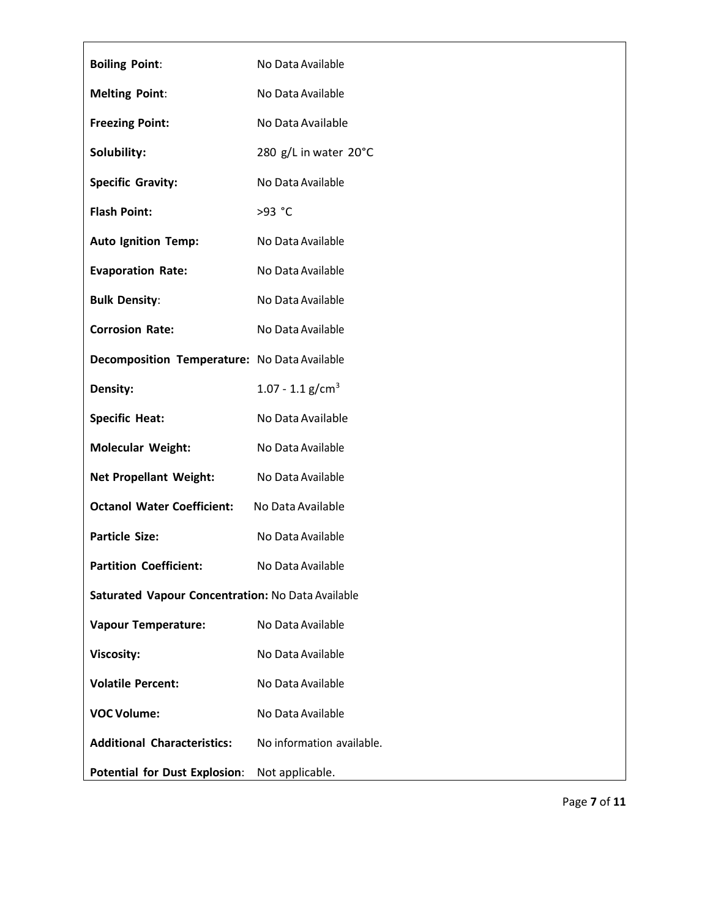| <b>Boiling Point:</b>                             | No Data Available         |
|---------------------------------------------------|---------------------------|
| <b>Melting Point:</b>                             | No Data Available         |
| <b>Freezing Point:</b>                            | No Data Available         |
| Solubility:                                       | 280 g/L in water 20°C     |
| <b>Specific Gravity:</b>                          | No Data Available         |
| <b>Flash Point:</b>                               | >93 °C                    |
| <b>Auto Ignition Temp:</b>                        | No Data Available         |
| <b>Evaporation Rate:</b>                          | No Data Available         |
| <b>Bulk Density:</b>                              | No Data Available         |
| <b>Corrosion Rate:</b>                            | No Data Available         |
| Decomposition Temperature: No Data Available      |                           |
| Density:                                          | 1.07 - 1.1 $g/cm3$        |
| <b>Specific Heat:</b>                             | No Data Available         |
| <b>Molecular Weight:</b>                          | No Data Available         |
| <b>Net Propellant Weight:</b>                     | No Data Available         |
| <b>Octanol Water Coefficient:</b>                 | No Data Available         |
| <b>Particle Size:</b>                             | No Data Available         |
| <b>Partition Coefficient:</b>                     | No Data Available         |
| Saturated Vapour Concentration: No Data Available |                           |
| <b>Vapour Temperature:</b>                        | No Data Available         |
| <b>Viscosity:</b>                                 | No Data Available         |
| <b>Volatile Percent:</b>                          | No Data Available         |
| <b>VOC Volume:</b>                                | No Data Available         |
| <b>Additional Characteristics:</b>                | No information available. |
| <b>Potential for Dust Explosion:</b>              | Not applicable.           |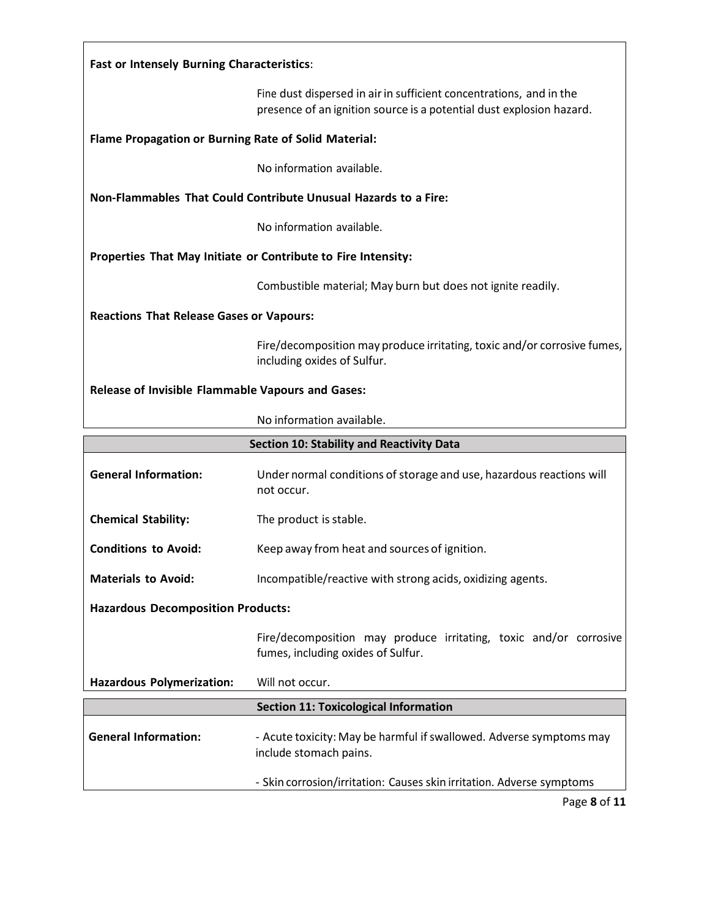# **Fast or Intensely Burning Characteristics**:

Fine dust dispersed in air in sufficient concentrations, and in the presence of an ignition source is a potential dust explosion hazard.

### **Flame Propagation or Burning Rate of Solid Material:**

No information available.

### **Non-Flammables That Could Contribute Unusual Hazards to a Fire:**

No information available.

### **Properties That May Initiate or Contribute to Fire Intensity:**

Combustible material; May burn but does not ignite readily.

### **Reactions That Release Gases or Vapours:**

Fire/decomposition may produce irritating, toxic and/or corrosive fumes, including oxides of Sulfur.

### **Release of Invisible Flammable Vapours and Gases:**

No information available.

|                                          | <b>Section 10: Stability and Reactivity Data</b>                                                        |
|------------------------------------------|---------------------------------------------------------------------------------------------------------|
| <b>General Information:</b>              | Under normal conditions of storage and use, hazardous reactions will<br>not occur.                      |
| <b>Chemical Stability:</b>               | The product is stable.                                                                                  |
| <b>Conditions to Avoid:</b>              | Keep away from heat and sources of ignition.                                                            |
| <b>Materials to Avoid:</b>               | Incompatible/reactive with strong acids, oxidizing agents.                                              |
| <b>Hazardous Decomposition Products:</b> |                                                                                                         |
|                                          | Fire/decomposition may produce irritating, toxic and/or corrosive<br>fumes, including oxides of Sulfur. |
| <b>Hazardous Polymerization:</b>         | Will not occur.                                                                                         |
|                                          | <b>Section 11: Toxicological Information</b>                                                            |
| <b>General Information:</b>              | - Acute toxicity: May be harmful if swallowed. Adverse symptoms may<br>include stomach pains.           |
|                                          | - Skin corrosion/irritation: Causes skin irritation. Adverse symptoms                                   |
|                                          |                                                                                                         |

Page **8** of **11**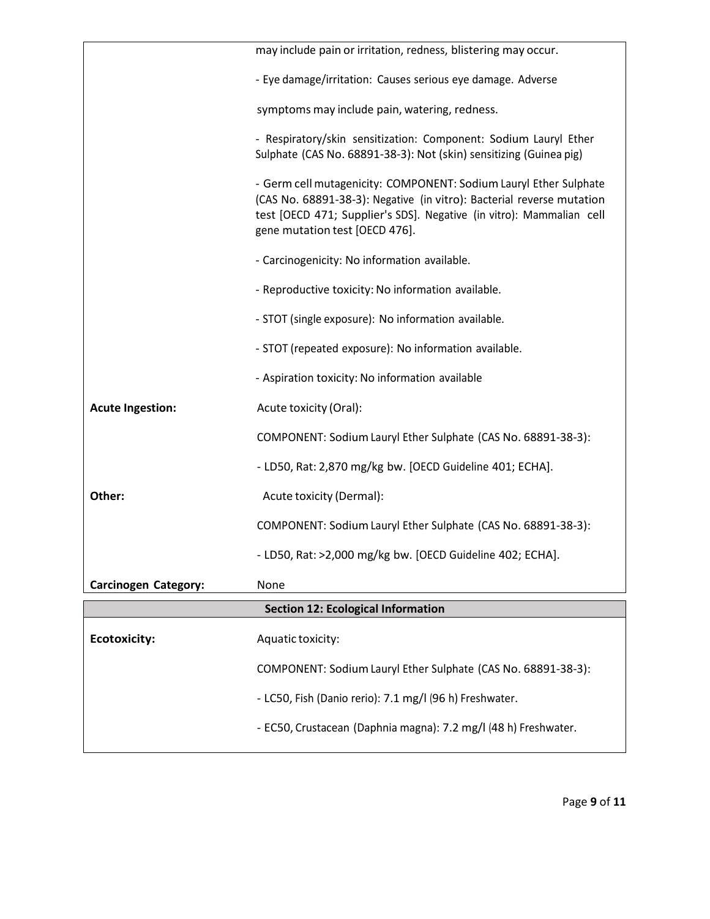|                             | may include pain or irritation, redness, blistering may occur.                                                                                                                                                                                       |
|-----------------------------|------------------------------------------------------------------------------------------------------------------------------------------------------------------------------------------------------------------------------------------------------|
|                             | - Eye damage/irritation: Causes serious eye damage. Adverse                                                                                                                                                                                          |
|                             | symptoms may include pain, watering, redness.                                                                                                                                                                                                        |
|                             | - Respiratory/skin sensitization: Component: Sodium Lauryl Ether<br>Sulphate (CAS No. 68891-38-3): Not (skin) sensitizing (Guinea pig)                                                                                                               |
|                             | - Germ cell mutagenicity: COMPONENT: Sodium Lauryl Ether Sulphate<br>(CAS No. 68891-38-3): Negative (in vitro): Bacterial reverse mutation<br>test [OECD 471; Supplier's SDS]. Negative (in vitro): Mammalian cell<br>gene mutation test [OECD 476]. |
|                             | - Carcinogenicity: No information available.                                                                                                                                                                                                         |
|                             | - Reproductive toxicity: No information available.                                                                                                                                                                                                   |
|                             | - STOT (single exposure): No information available.                                                                                                                                                                                                  |
|                             | - STOT (repeated exposure): No information available.                                                                                                                                                                                                |
|                             | - Aspiration toxicity: No information available                                                                                                                                                                                                      |
| <b>Acute Ingestion:</b>     | Acute toxicity (Oral):                                                                                                                                                                                                                               |
|                             | COMPONENT: Sodium Lauryl Ether Sulphate (CAS No. 68891-38-3):                                                                                                                                                                                        |
|                             | - LD50, Rat: 2,870 mg/kg bw. [OECD Guideline 401; ECHA].                                                                                                                                                                                             |
| Other:                      | Acute toxicity (Dermal):                                                                                                                                                                                                                             |
|                             | COMPONENT: Sodium Lauryl Ether Sulphate (CAS No. 68891-38-3):                                                                                                                                                                                        |
|                             | - LD50, Rat: >2,000 mg/kg bw. [OECD Guideline 402; ECHA].                                                                                                                                                                                            |
| <b>Carcinogen Category:</b> | None                                                                                                                                                                                                                                                 |
|                             | <b>Section 12: Ecological Information</b>                                                                                                                                                                                                            |
| <b>Ecotoxicity:</b>         | Aquatic toxicity:                                                                                                                                                                                                                                    |
|                             | COMPONENT: Sodium Lauryl Ether Sulphate (CAS No. 68891-38-3):                                                                                                                                                                                        |
|                             | - LC50, Fish (Danio rerio): 7.1 mg/l (96 h) Freshwater.                                                                                                                                                                                              |
|                             | - EC50, Crustacean (Daphnia magna): 7.2 mg/l (48 h) Freshwater.                                                                                                                                                                                      |
|                             |                                                                                                                                                                                                                                                      |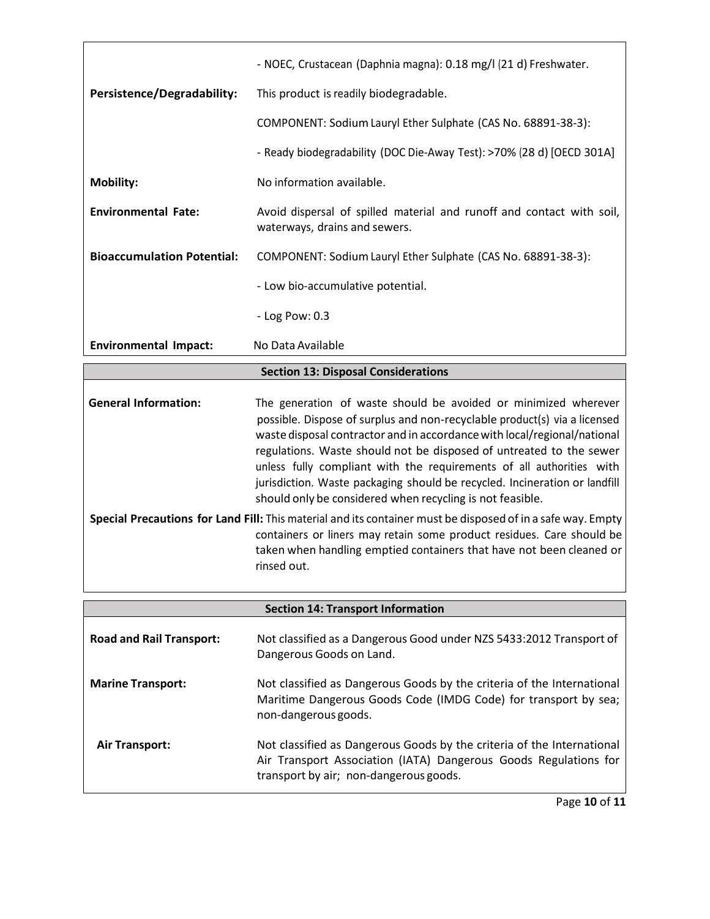|                                                                                                             | - NOEC, Crustacean (Daphnia magna): 0.18 mg/l (21 d) Freshwater.                                                                                                                                                                                                                                                                                                                                                                                                                                                   |  |
|-------------------------------------------------------------------------------------------------------------|--------------------------------------------------------------------------------------------------------------------------------------------------------------------------------------------------------------------------------------------------------------------------------------------------------------------------------------------------------------------------------------------------------------------------------------------------------------------------------------------------------------------|--|
| Persistence/Degradability:                                                                                  | This product is readily biodegradable.                                                                                                                                                                                                                                                                                                                                                                                                                                                                             |  |
|                                                                                                             | COMPONENT: Sodium Lauryl Ether Sulphate (CAS No. 68891-38-3):                                                                                                                                                                                                                                                                                                                                                                                                                                                      |  |
|                                                                                                             | - Ready biodegradability (DOC Die-Away Test): >70% (28 d) [OECD 301A]                                                                                                                                                                                                                                                                                                                                                                                                                                              |  |
| <b>Mobility:</b>                                                                                            | No information available.                                                                                                                                                                                                                                                                                                                                                                                                                                                                                          |  |
| <b>Environmental Fate:</b>                                                                                  | Avoid dispersal of spilled material and runoff and contact with soil,<br>waterways, drains and sewers.                                                                                                                                                                                                                                                                                                                                                                                                             |  |
| <b>Bioaccumulation Potential:</b>                                                                           | COMPONENT: Sodium Lauryl Ether Sulphate (CAS No. 68891-38-3):                                                                                                                                                                                                                                                                                                                                                                                                                                                      |  |
|                                                                                                             | - Low bio-accumulative potential.                                                                                                                                                                                                                                                                                                                                                                                                                                                                                  |  |
|                                                                                                             | - Log Pow: 0.3                                                                                                                                                                                                                                                                                                                                                                                                                                                                                                     |  |
| <b>Environmental Impact:</b>                                                                                | No Data Available                                                                                                                                                                                                                                                                                                                                                                                                                                                                                                  |  |
|                                                                                                             | <b>Section 13: Disposal Considerations</b>                                                                                                                                                                                                                                                                                                                                                                                                                                                                         |  |
| <b>General Information:</b>                                                                                 | The generation of waste should be avoided or minimized wherever<br>possible. Dispose of surplus and non-recyclable product(s) via a licensed<br>waste disposal contractor and in accordance with local/regional/national<br>regulations. Waste should not be disposed of untreated to the sewer<br>unless fully compliant with the requirements of all authorities with<br>jurisdiction. Waste packaging should be recycled. Incineration or landfill<br>should only be considered when recycling is not feasible. |  |
| Special Precautions for Land Fill: This material and its container must be disposed of in a safe way. Empty |                                                                                                                                                                                                                                                                                                                                                                                                                                                                                                                    |  |
|                                                                                                             | containers or liners may retain some product residues. Care should be<br>taken when handling emptied containers that have not been cleaned or<br>rinsed out.                                                                                                                                                                                                                                                                                                                                                       |  |
| <b>Section 14: Transport Information</b>                                                                    |                                                                                                                                                                                                                                                                                                                                                                                                                                                                                                                    |  |
|                                                                                                             |                                                                                                                                                                                                                                                                                                                                                                                                                                                                                                                    |  |
| <b>Road and Rail Transport:</b>                                                                             | Not classified as a Dangerous Good under NZS 5433:2012 Transport of                                                                                                                                                                                                                                                                                                                                                                                                                                                |  |

|                          | $11000$ crassified as a Barriger bas Good arracilities shooted as individual to<br>Dangerous Goods on Land.                                                                          |
|--------------------------|--------------------------------------------------------------------------------------------------------------------------------------------------------------------------------------|
| <b>Marine Transport:</b> | Not classified as Dangerous Goods by the criteria of the International<br>Maritime Dangerous Goods Code (IMDG Code) for transport by sea;<br>non-dangerous goods.                    |
| <b>Air Transport:</b>    | Not classified as Dangerous Goods by the criteria of the International<br>Air Transport Association (IATA) Dangerous Goods Regulations for<br>transport by air; non-dangerous goods. |